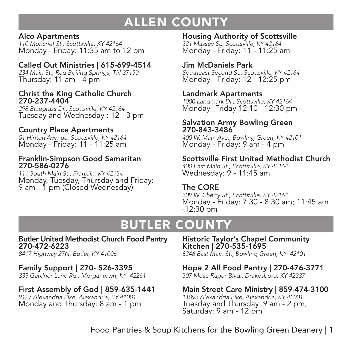# ALLEN COUNTY

## Alco Apartments

110 Moncrief St., Scottsville, KY 42164 Monday - Friday: 11:35 am to 12 pm

## Called Out Ministries | 615-699-4514

234 Main St., Red Boiling Springs, TN 37150 Thursday: 11 am - 4 pm

### Christ the King Catholic Church 270-237-4404

298 Bluegrass Dr., Scottsville, KY 42164 Tuesday and Wednesday : 12 - 3 pm

## Country Place Apartments

51 Hinton Avenue, Scottsville, KY 42164 Monday - Friday: 11 - 11:25 am

### Franklin-Simpson Good Samaritan 270-586-0276

111 South Main St., Franklin, KY 42134 Monday, Tuesday, Thursday and Friday: 9 am - 1 pm (Closed Wednesday)

Housing Authority of Scottsville 321 Massey St., Scottsville, KY 42164 Monday - Friday: 11 - 11:25 am

## Jim McDaniels Park

Southeast Second St., Scottsville, KY 42164 Monday - Friday: 12 - 12:25 pm

## Landmark Apartments

1000 Landmark Dr., Scottsville, KY 42164 Monday -Friday 12:10 - 12:30 pm

#### Salvation Army Bowling Green 270-843-3486

400 W. Main Ave., Bowling Green, KY 42101 Monday - Friday: 9 am - 4 pm

## Scottsville First United Methodist Church

400 East Main St., Scottsville, KY 42164 Wednesday: 9 - 11:45 am

## The CORE

309 W. Cherry St., Scottsville, KY 42164 Monday - Friday: 7:30 - 8:30 am; 11:45 am  $-12:30$  pm

# BUTLER COUNTY

#### Butler United Methodist Church Food Pantry 270-472-6223

8417 Highway 27N, Butler, KY 41006

# Family Support | 270- 526-3395

333 Gardner Lane Rd., Morgantown, KY 42261

# First Assembly of God | 859-635-1441

9127 Alexandria Pike, Alexandria, KY 41001 Monday and Thursday: 8 am - 1 pm

## Historic Taylor's Chapel Community Kitchen | 270-535-1695

8246 East Main St., Bowling Green, KY 42101

## Hope 2 All Food Pantry | 270-476-3771

307 Mose Rager Blvd., Drakesboro, KY 42337

## Main Street Care Ministry | 859-474-3100

11093 Alexandria Pike, Alexandria, KY 41001 Tuesday and Thursday: 9 am - 2 pm; Saturday: 9 am - 12 pm

Food Pantries & Soup Kitchens for the Bowling Green Deanery | 1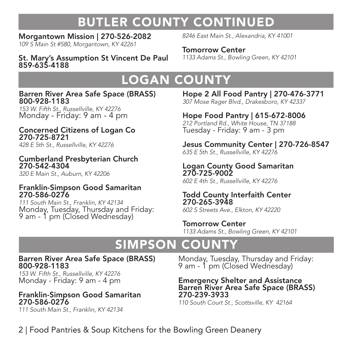# BUTLER COUNTY CONTINUED

Morgantown Mission | 270-526-2082

109 S Main St #580, Morgantown, KY 42261

St. Mary's Assumption St Vincent De Paul 859-635-4188

8246 East Main St., Alexandria, KY 41001

Tomorrow Center 1133 Adams St., Bowling Green, KY 42101

# LOGAN COUNTY

### Barren River Area Safe Space (BRASS) 800-928-1183

153 W. Fifth St., Russellville, KY 42276 Monday - Friday: 9 am - 4 pm

## Concerned Citizens of Logan Co 270-725-8721

428 E 5th St., Russellville, KY 42276

## Cumberland Presbyterian Church 270-542-4304

320 E Main St., Auburn, KY 42206

### Franklin-Simpson Good Samaritan 270-586-0276

111 South Main St., Franklin, KY 42134 Monday, Tuesday, Thursday and Friday: 9 am - 1 pm (Closed Wednesday)

Hope 2 All Food Pantry | 270-476-3771 307 Mose Rager Blvd., Drakesboro, KY 42337

## Hope Food Pantry | 615-672-8006

212 Portland Rd., White House, TN 37188 Tuesday - Friday: 9 am - 3 pm

Jesus Community Center | 270-726-8547 635 E 5th St., Russellville, KY 42276

## Logan County Good Samaritan 270-725-9002

602 E 4th St., Russellville, KY 42276

## Todd County Interfaith Center 270-265-3948

602 S Streets Ave., Elkton, KY 42220

Tomorrow Center 1133 Adams St., Bowling Green, KY 42101

# SIMPSON COUNTY

### Barren River Area Safe Space (BRASS) 800-928-1183

153 W. Fifth St., Russellville, KY 42276 Monday - Friday: 9 am - 4 pm

## Franklin-Simpson Good Samaritan 270-586-0276

111 South Main St., Franklin, KY 42134

Monday, Tuesday, Thursday and Friday: 9 am - 1 pm (Closed Wednesday)

#### Emergency Shelter and Assistance Barren River Area Safe Space (BRASS) 270-239-3933

110 South Court St., Scottsville, KY 42164

# 2 | Food Pantries & Soup Kitchens for the Bowling Green Deanery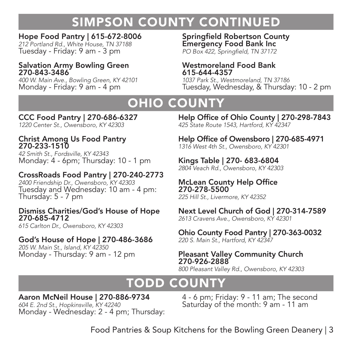# SIMPSON COUNTY CONTINUED

#### Hope Food Pantry | 615-672-8006 212 Portland Rd., White House, TN 37188

Tuesday - Friday: 9 am - 3 pm

### Salvation Army Bowling Green 270-843-3486

400 W. Main Ave., Bowling Green, KY 42101 Monday - Friday: 9 am - 4 pm

Springfield Robertson County Emergency Food Bank Inc PO Box 422, Springfield, TN 37172

#### Westmoreland Food Bank 615-644-4357

1037 Park St., Westmoreland, TN 37186 Tuesday, Wednesday, & Thursday: 10 - 2 pm

# OHIO COUNTY

CCC Food Pantry | 270-686-6327 1220 Center St., Owensboro, KY 42303

## Christ Among Us Food Pantry 270-233-1510

42 Smith St., Fordsville, KY 42343 Monday: 4 - 6pm; Thursday: 10 - 1 pm

## CrossRoads Food Pantry | 270-240-2773

2400 Friendship Dr., Owensboro, KY 42303 Tuesday and Wednesday: 10 am - 4 pm: Thursday: 5 - 7 pm

## Dismiss Charities/God's House of Hope 270-685-4712

615 Carlton Dr., Owensboro, KY 42303

## God's House of Hope | 270-486-3686

205 W. Main St., Island, KY 42350 Monday - Thursday: 9 am - 12 pm Help Office of Ohio County | 270-298-7843 425 State Route 1543, Hartford, KY 42347

Help Office of Owensboro | 270-685-4971 1316 West 4th St., Owensboro, KY 42301

# Kings Table | 270- 683-6804

2804 Veach Rd., Owensboro, KY 42303

McLean County Help Office 270-278-5500 225 Hill St., Livermore, KY 42352

Next Level Church of God | 270-314-7589 2613 Cravens Ave., Owensboro, KY 42301

Ohio County Food Pantry | 270-363-0032 220 S. Main St., Hartford, KY 42347

#### Pleasant Valley Community Church 270-926-2888 800 Pleasant Valley Rd., Owensboro, KY 42303

# TODD COUNTY

Aaron McNeil House | 270-886-9734 604 E. 2nd St., Hopkinsville, KY 42240 Monday - Wednesday: 2 - 4 pm; Thursday: 4 - 6 pm; Friday: 9 - 11 am; The second Saturday of the month: 9 am - 11 am

Food Pantries & Soup Kitchens for the Bowling Green Deanery | 3